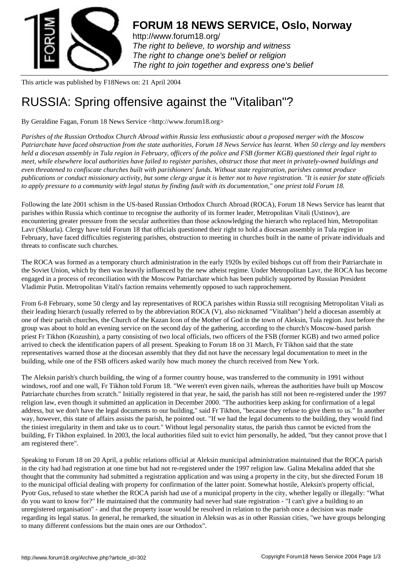

http://www.forum18.org/ The right to believe, to worship and witness The right to change one's belief or religion [The right to join together](http://www.forum18.org/) and express one's belief

This article was published by F18News on: 21 April 2004

## [RUSSIA: Spring of](http://www.forum18.org)fensive against the "Vitaliban"?

By Geraldine Fagan, Forum 18 News Service <http://www.forum18.org>

*Parishes of the Russian Orthodox Church Abroad within Russia less enthusiastic about a proposed merger with the Moscow Patriarchate have faced obstruction from the state authorities, Forum 18 News Service has learnt. When 50 clergy and lay members held a diocesan assembly in Tula region in February, officers of the police and FSB (former KGB) questioned their legal right to meet, while elsewhere local authorities have failed to register parishes, obstruct those that meet in privately-owned buildings and even threatened to confiscate churches built with parishioners' funds. Without state registration, parishes cannot produce publications or conduct missionary activity, but some clergy argue it is better not to have registration. "It is easier for state officials to apply pressure to a community with legal status by finding fault with its documentation," one priest told Forum 18.*

Following the late 2001 schism in the US-based Russian Orthodox Church Abroad (ROCA), Forum 18 News Service has learnt that parishes within Russia which continue to recognise the authority of its former leader, Metropolitan Vitali (Ustinov), are encountering greater pressure from the secular authorities than those acknowledging the hierarch who replaced him, Metropolitan Lavr (Shkurla). Clergy have told Forum 18 that officials questioned their right to hold a diocesan assembly in Tula region in February, have faced difficulties registering parishes, obstruction to meeting in churches built in the name of private individuals and threats to confiscate such churches.

The ROCA was formed as a temporary church administration in the early 1920s by exiled bishops cut off from their Patriarchate in the Soviet Union, which by then was heavily influenced by the new atheist regime. Under Metropolitan Lavr, the ROCA has become engaged in a process of reconciliation with the Moscow Patriarchate which has been publicly supported by Russian President Vladimir Putin. Metropolitan Vitali's faction remains vehemently opposed to such rapprochement.

From 6-8 February, some 50 clergy and lay representatives of ROCA parishes within Russia still recognising Metropolitan Vitali as their leading hierarch (usually referred to by the abbreviation ROCA (V), also nicknamed "Vitaliban") held a diocesan assembly at one of their parish churches, the Church of the Kazan Icon of the Mother of God in the town of Aleksin, Tula region. Just before the group was about to hold an evening service on the second day of the gathering, according to the church's Moscow-based parish priest Fr Tikhon (Kozushin), a party consisting of two local officials, two officers of the FSB (former KGB) and two armed police arrived to check the identification papers of all present. Speaking to Forum 18 on 31 March, Fr Tikhon said that the state representatives warned those at the diocesan assembly that they did not have the necessary legal documentation to meet in the building, while one of the FSB officers asked warily how much money the church received from New York.

The Aleksin parish's church building, the wing of a former country house, was transferred to the community in 1991 without windows, roof and one wall, Fr Tikhon told Forum 18. "We weren't even given nails, whereas the authorities have built up Moscow Patriarchate churches from scratch." Initially registered in that year, he said, the parish has still not been re-registered under the 1997 religion law, even though it submitted an application in December 2000. "The authorities keep asking for confirmation of a legal address, but we don't have the legal documents to our building," said Fr Tikhon, "because they refuse to give them to us." In another way, however, this state of affairs assists the parish, he pointed out. "If we had the legal documents to the building, they would find the tiniest irregularity in them and take us to court." Without legal personality status, the parish thus cannot be evicted from the building, Fr Tikhon explained. In 2003, the local authorities filed suit to evict him personally, he added, "but they cannot prove that I am registered there".

Speaking to Forum 18 on 20 April, a public relations official at Aleksin municipal administration maintained that the ROCA parish in the city had had registration at one time but had not re-registered under the 1997 religion law. Galina Mekalina added that she thought that the community had submitted a registration application and was using a property in the city, but she directed Forum 18 to the municipal official dealing with property for confirmation of the latter point. Somewhat hostile, Aleksin's property official, Pyotr Gus, refused to state whether the ROCA parish had use of a municipal property in the city, whether legally or illegally: "What do you want to know for?" He maintained that the community had never had state registration - "I can't give a building to an unregistered organisation" - and that the property issue would be resolved in relation to the parish once a decision was made regarding its legal status. In general, he remarked, the situation in Aleksin was as in other Russian cities, "we have groups belonging to many different confessions but the main ones are our Orthodox".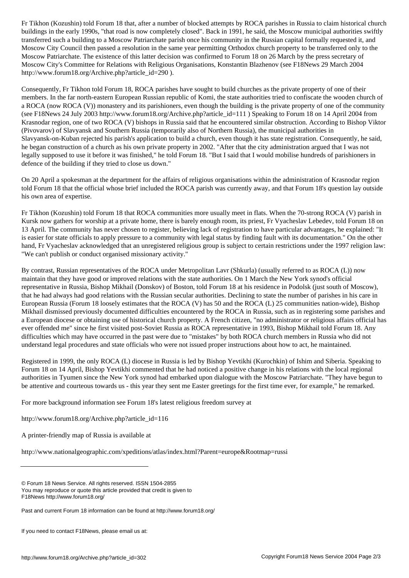buildings in the early 1990s, "that road is now completely closed". Back in 1991, he said, the Moscow municipal authorities swiftly transferred such a building to a Moscow Patriarchate parish once his community in the Russian capital formally requested it, and Moscow City Council then passed a resolution in the same year permitting Orthodox church property to be transferred only to the Moscow Patriarchate. The existence of this latter decision was confirmed to Forum 18 on 26 March by the press secretary of Moscow City's Committee for Relations with Religious Organisations, Konstantin Blazhenov (see F18News 29 March 2004 http://www.forum18.org/Archive.php?article\_id=290 ).

Consequently, Fr Tikhon told Forum 18, ROCA parishes have sought to build churches as the private property of one of their members. In the far north-eastern European Russian republic of Komi, the state authorities tried to confiscate the wooden church of a ROCA (now ROCA (V)) monastery and its parishioners, even though the building is the private property of one of the community (see F18News 24 July 2003 http://www.forum18.org/Archive.php?article\_id=111 ) Speaking to Forum 18 on 14 April 2004 from Krasnodar region, one of two ROCA (V) bishops in Russia said that he encountered similar obstruction. According to Bishop Viktor (Pivovarov) of Slavyansk and Southern Russia (temporarily also of Northern Russia), the municipal authorities in Slavyansk-on-Kuban rejected his parish's application to build a church, even though it has state registration. Consequently, he said, he began construction of a church as his own private property in 2002. "After that the city administration argued that I was not legally supposed to use it before it was finished," he told Forum 18. "But I said that I would mobilise hundreds of parishioners in defence of the building if they tried to close us down."

On 20 April a spokesman at the department for the affairs of religious organisations within the administration of Krasnodar region told Forum 18 that the official whose brief included the ROCA parish was currently away, and that Forum 18's question lay outside his own area of expertise.

Fr Tikhon (Kozushin) told Forum 18 that ROCA communities more usually meet in flats. When the 70-strong ROCA (V) parish in Kursk now gathers for worship at a private home, there is barely enough room, its priest, Fr Vyacheslav Lebedev, told Forum 18 on 13 April. The community has never chosen to register, believing lack of registration to have particular advantages, he explained: "It is easier for state officials to apply pressure to a community with legal status by finding fault with its documentation." On the other hand, Fr Vyacheslav acknowledged that an unregistered religious group is subject to certain restrictions under the 1997 religion law: "We can't publish or conduct organised missionary activity."

By contrast, Russian representatives of the ROCA under Metropolitan Lavr (Shkurla) (usually referred to as ROCA (L)) now maintain that they have good or improved relations with the state authorities. On 1 March the New York synod's official representative in Russia, Bishop Mikhail (Donskov) of Boston, told Forum 18 at his residence in Podolsk (just south of Moscow), that he had always had good relations with the Russian secular authorities. Declining to state the number of parishes in his care in European Russia (Forum 18 loosely estimates that the ROCA (V) has 50 and the ROCA (L) 25 communities nation-wide), Bishop Mikhail dismissed previously documented difficulties encountered by the ROCA in Russia, such as in registering some parishes and a European diocese or obtaining use of historical church property. A French citizen, "no administrator or religious affairs official has ever offended me" since he first visited post-Soviet Russia as ROCA representative in 1993, Bishop Mikhail told Forum 18. Any difficulties which may have occurred in the past were due to "mistakes" by both ROCA church members in Russia who did not understand legal procedures and state officials who were not issued proper instructions about how to act, he maintained.

Registered in 1999, the only ROCA (L) diocese in Russia is led by Bishop Yevtikhi (Kurochkin) of Ishim and Siberia. Speaking to Forum 18 on 14 April, Bishop Yevtikhi commented that he had noticed a positive change in his relations with the local regional authorities in Tyumen since the New York synod had embarked upon dialogue with the Moscow Patriarchate. "They have begun to be attentive and courteous towards us - this year they sent me Easter greetings for the first time ever, for example," he remarked.

For more background information see Forum 18's latest religious freedom survey at

http://www.forum18.org/Archive.php?article\_id=116

A printer-friendly map of Russia is available at

http://www.nationalgeographic.com/xpeditions/atlas/index.html?Parent=europe&Rootmap=russi

<sup>©</sup> Forum 18 News Service. All rights reserved. ISSN 1504-2855 You may reproduce or quote this article provided that credit is given to F18News http://www.forum18.org/

Past and current Forum 18 information can be found at http://www.forum18.org/

If you need to contact F18News, please email us at: